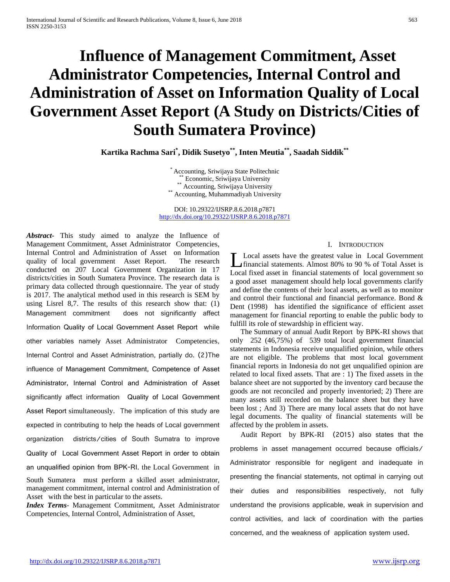# **Influence of Management Commitment, Asset Administrator Competencies, Internal Control and Administration of Asset on Information Quality of Local Government Asset Report (A Study on Districts/Cities of South Sumatera Province)**

**Kartika Rachma Sari\* , Didik Susetyo\*\*, Inten Meutia\*\*, Saadah Siddik\*\***

\* Accounting, Sriwijaya State Politechnic<br>\*\* Economic, Sriwijaya University<br>\*\* Accounting, Sriwijaya University<br>\*\* Accounting, Muhammadiyah University

DOI: 10.29322/IJSRP.8.6.2018.p7871 <http://dx.doi.org/10.29322/IJSRP.8.6.2018.p7871>

*Abstract***-** This study aimed to analyze the Influence of Management Commitment, Asset Administrator Competencies, Internal Control and Administration of Asset on Information quality of local government Asset Report. The research conducted on 207 Local Government Organization in 17 districts/cities in South Sumatera Province. The research data is primary data collected through questionnaire. The year of study is 2017. The analytical method used in this research is SEM by using Lisrel 8,7. The results of this research show that: (1) Management commitment does not significantly affect Information Quality of Local Government Asset Report while other variables namely Asset Administrator Competencies, Internal Control and Asset Administration, partially do. (2)The influence of Management Commitment, Competence of Asset Administrator, Internal Control and Administration of Asset significantly affect information Quality of Local Government Asset Report simultaneously. The implication of this study are expected in contributing to help the heads of Local government organization districts/cities of South Sumatra to improve Quality of Local Government Asset Report in order to obtain an unqualified opinion from BPK-RI. the Local Government in South Sumatera must perform a skilled asset administrator, management commitment, internal control and Administration of Asset with the best in particular to the assets.

*Index Terms*- Management Commitment, Asset Administrator Competencies, Internal Control, Administration of Asset,

# I. INTRODUCTION

Local assets have the greatest value in Local Government financial statements. Almost 80% to 90 % of Total Asset is Local assets have the greatest value in Local Government<br>
financial statements. Almost 80% to 90 % of Total Asset is<br>
Local fixed asset in financial statements of local government so a good asset management should help local governments clarify and define the contents of their local assets, as well as to monitor and control their functional and financial performance. Bond & Dent (1998) has identified the significance of efficient asset management for financial reporting to enable the public body to fulfill its role of stewardship in efficient way.

The Summary of annual Audit Report by BPK-RI shows that only 252 (46,75%) of 539 total local government financial statements in Indonesia receive unqualified opinion, while others are not eligible. The problems that most local government financial reports in Indonesia do not get unqualified opinion are related to local fixed assets. That are : 1) The fixed assets in the balance sheet are not supported by the inventory card because the goods are not reconciled and properly inventoried; 2) There are many assets still recorded on the balance sheet but they have been lost ; And 3) There are many local assets that do not have legal documents. The quality of financial statements will be affected by the problem in assets.

Audit Report by BPK-RI (2015) also states that the problems in asset management occurred because officials/ Administrator responsible for negligent and inadequate in presenting the financial statements, not optimal in carrying out their duties and responsibilities respectively, not fully understand the provisions applicable, weak in supervision and control activities, and lack of coordination with the parties concerned, and the weakness of application system used.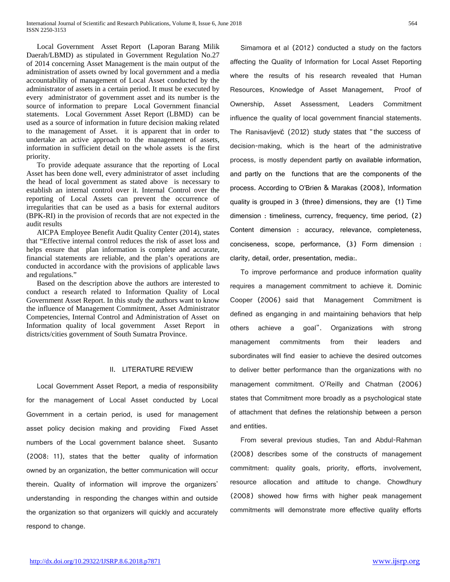Local Government Asset Report (Laporan Barang Milik Daerah/LBMD) as stipulated in Government Regulation No.27 of 2014 concerning Asset Management is the main output of the administration of assets owned by local government and a media accountability of management of Local Asset conducted by the administrator of assets in a certain period. It must be executed by every administrator of government asset and its number is the source of information to prepare Local Government financial statements. Local Government Asset Report (LBMD) can be used as a source of information in future decision making related to the management of Asset. it is apparent that in order to undertake an active approach to the management of assets, information in sufficient detail on the whole assets is the first priority.

To provide adequate assurance that the reporting of Local Asset has been done well, every administrator of asset including the head of local government as stated above is necessary to establish an internal control over it. Internal Control over the reporting of Local Assets can prevent the occurrence of irregularities that can be used as a basis for external auditors (BPK-RI) in the provision of records that are not expected in the audit results

AICPA Employee Benefit Audit Quality Center (2014), states that "Effective internal control reduces the risk of asset loss and helps ensure that plan information is complete and accurate, financial statements are reliable, and the plan's operations are conducted in accordance with the provisions of applicable laws and regulations."

Based on the description above the authors are interested to conduct a research related to Information Quality of Local Government Asset Report. In this study the authors want to know the influence of Management Commitment, Asset Administrator Competencies, Internal Control and Administration of Asset on Information quality of local government Asset Report in districts/cities government of South Sumatra Province.

#### II. LITERATURE REVIEW

Local Government Asset Report, a media of responsibility for the management of Local Asset conducted by Local Government in a certain period, is used for management asset policy decision making and providing Fixed Asset numbers of the Local government balance sheet. Susanto (2008: 11), states that the better quality of information owned by an organization, the better communication will occur therein. Quality of information will improve the organizers' understanding in responding the changes within and outside the organization so that organizers will quickly and accurately respond to change.

Simamora et al (2012) conducted a study on the factors affecting the Quality of Information for Local Asset Reporting where the results of his research revealed that Human Resources, Knowledge of Asset Management, Proof of Ownership, Asset Assessment, Leaders Commitment influence the quality of local government financial statements. The Ranisavljević (2012) study states that "the success of decision-making, which is the heart of the administrative process, is mostly dependent partly on available information, and partly on the functions that are the components of the process. According to O'Brien & Marakas (2008), Information quality is grouped in 3 (three) dimensions, they are (1) Time dimension : timeliness, currency, frequency, time period, (2) Content dimension : accuracy, relevance, completeness, conciseness, scope, performance, (3) Form dimension : clarity, detail, order, presentation, media:.

To improve performance and produce information quality requires a management commitment to achieve it. Dominic Cooper (2006) said that Management Commitment is defined as enganging in and maintaining behaviors that help others achieve a goal". Organizations with strong management commitments from their leaders and subordinates will find easier to achieve the desired outcomes to deliver better performance than the organizations with no management commitment. O'Reilly and Chatman (2006) states that Commitment more broadly as a psychological state of attachment that defines the relationship between a person and entities.

From several previous studies, Tan and Abdul-Rahman (2008) describes some of the constructs of management commitment: quality goals, priority, efforts, involvement, resource allocation and attitude to change. Chowdhury (2008) showed how firms with higher peak management commitments will demonstrate more effective quality efforts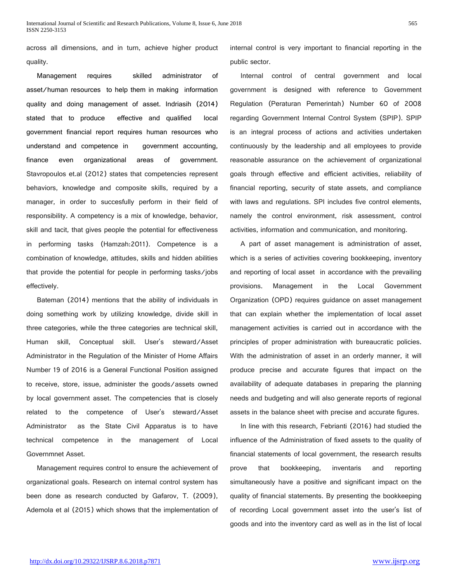across all dimensions, and in turn, achieve higher product quality.

Management requires skilled administrator of asset/human resources to help them in making information quality and doing management of asset. Indriasih (2014) stated that to produce effective and qualified local government financial report requires human resources who understand and competence in government accounting, finance even organizational areas of government. Stavropoulos et.al (2012) states that competencies represent behaviors, knowledge and composite skills, required by a manager, in order to succesfully perform in their field of responsibility. A competency is a mix of knowledge, behavior, skill and tacit, that gives people the potential for effectiveness in performing tasks (Hamzah:2011). Competence is a combination of knowledge, attitudes, skills and hidden abilities that provide the potential for people in performing tasks/jobs effectively.

Bateman (2014) mentions that the ability of individuals in doing something work by utilizing knowledge, divide skill in three categories, while the three categories are technical skill, Human skill, Conceptual skill. User's steward/Asset Administrator in the Regulation of the Minister of Home Affairs Number 19 of 2016 is a General Functional Position assigned to receive, store, issue, administer the goods/assets owned by local government asset. The competencies that is closely related to the competence of User's steward/Asset Administrator as the State Civil Apparatus is to have technical competence in the management of Local Governmnet Asset.

Management requires control to ensure the achievement of organizational goals. Research on internal control system has been done as research conducted by Gafarov, T. (2009), Ademola et al (2015) which shows that the implementation of internal control is very important to financial reporting in the public sector.

Internal control of central government and local government is designed with reference to Government Regulation (Peraturan Pemerintah) Number 60 of 2008 regarding Government Internal Control System (SPIP). SPIP is an integral process of actions and activities undertaken continuously by the leadership and all employees to provide reasonable assurance on the achievement of organizational goals through effective and efficient activities, reliability of financial reporting, security of state assets, and compliance with laws and regulations. SPI includes five control elements, namely the control environment, risk assessment, control activities, information and communication, and monitoring.

A part of asset management is administration of asset, which is a series of activities covering bookkeeping, inventory and reporting of local asset in accordance with the prevailing provisions. Management in the Local Government Organization (OPD) requires guidance on asset management that can explain whether the implementation of local asset management activities is carried out in accordance with the principles of proper administration with bureaucratic policies. With the administration of asset in an orderly manner, it will produce precise and accurate figures that impact on the availability of adequate databases in preparing the planning needs and budgeting and will also generate reports of regional assets in the balance sheet with precise and accurate figures.

In line with this research, Febrianti (2016) had studied the influence of the Administration of fixed assets to the quality of financial statements of local government, the research results prove that bookkeeping, inventaris and reporting simultaneously have a positive and significant impact on the quality of financial statements. By presenting the bookkeeping of recording Local government asset into the user's list of goods and into the inventory card as well as in the list of local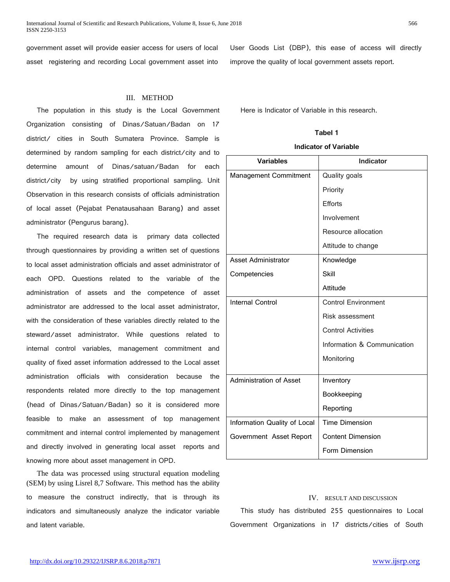International Journal of Scientific and Research Publications, Volume 8, Issue 6, June 2018 566 ISSN 2250-3153

government asset will provide easier access for users of local asset registering and recording Local government asset into

## III. METHOD

The population in this study is the Local Government Organization consisting of Dinas/Satuan/Badan on 17 district/ cities in South Sumatera Province. Sample is determined by random sampling for each district/city and to determine amount of Dinas/satuan/Badan for each district/city by using stratified proportional sampling. Unit Observation in this research consists of officials administration of local asset (Pejabat Penatausahaan Barang) and asset administrator (Pengurus barang).

The required research data is primary data collected through questionnaires by providing a written set of questions to local asset administration officials and asset administrator of each OPD. Questions related to the variable of the administration of assets and the competence of asset administrator are addressed to the local asset administrator, with the consideration of these variables directly related to the steward/asset administrator. While questions related to internal control variables, management commitment and quality of fixed asset information addressed to the Local asset administration officials with consideration because the respondents related more directly to the top management (head of Dinas/Satuan/Badan) so it is considered more feasible to make an assessment of top management commitment and internal control implemented by management and directly involved in generating local asset reports and knowing more about asset management in OPD.

The data was processed using structural equation modeling (SEM) by using Lisrel 8,7 Software. This method has the ability to measure the construct indirectly, that is through its indicators and simultaneously analyze the indicator variable and latent variable.

User Goods List (DBP), this ease of access will directly improve the quality of local government assets report.

Here is Indicator of Variable in this research.

#### **Tabel 1**

#### **Indicator of Variable**

| <b>Variables</b>             | Indicator                   |  |  |
|------------------------------|-----------------------------|--|--|
| <b>Management Commitment</b> | Quality goals               |  |  |
|                              | Priority                    |  |  |
|                              | Efforts                     |  |  |
|                              | Involvement                 |  |  |
|                              | Resource allocation         |  |  |
|                              | Attitude to change          |  |  |
| <b>Asset Administrator</b>   | Knowledge                   |  |  |
| Competencies                 | Skill                       |  |  |
|                              | Attitude                    |  |  |
| <b>Internal Control</b>      | <b>Control Environment</b>  |  |  |
|                              | Risk assessment             |  |  |
|                              | <b>Control Activities</b>   |  |  |
|                              | Information & Communication |  |  |
|                              | Monitoring                  |  |  |
| Administration of Asset      | Inventory                   |  |  |
|                              | Bookkeeping                 |  |  |
|                              | Reporting                   |  |  |
| Information Quality of Local | <b>Time Dimension</b>       |  |  |
| Government Asset Report      | <b>Content Dimension</b>    |  |  |
|                              | Form Dimension              |  |  |

# IV. RESULT AND DISCUSSION

This study has distributed 255 questionnaires to Local Government Organizations in 17 districts/cities of South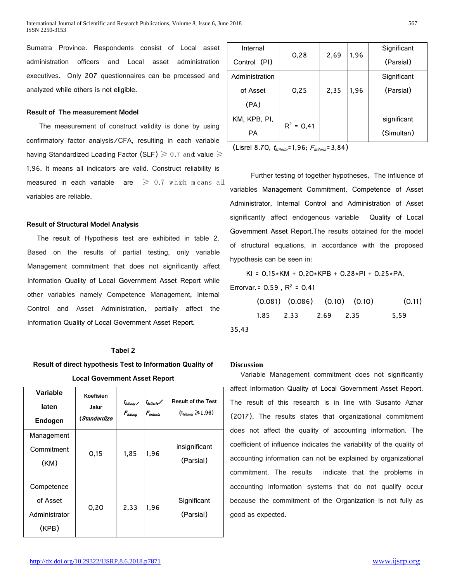Sumatra Province. Respondents consist of Local asset administration officers and Local asset administration executives. Only 207 questionnaires can be processed and analyzed while others is not eligible.

#### **Result of The measurement Model**

The measurement of construct validity is done by using confirmatory factor analysis/CFA, resulting in each variable having Standardized Loading Factor (SLF)  $\geq 0.7$  and value  $\geq$ 1,96. It means all indicators are valid. Construct reliability is measured in each variable are  $\geq 0.7$  which means all variables are reliable.

#### **Result of Structural Model Analysis**

The result of Hypothesis test are exhibited in table 2. Based on the results of partial testing, only variable Management commitment that does not significantly affect Information Quality of Local Government Asset Report while other variables namely Competence Management, Internal Control and Asset Administration, partially affect the Information Quality of Local Government Asset Report.

#### **Tabel 2**

# **Result of direct hypothesis Test to Information Quality of Local Government Asset Report**

| Variable<br>laten<br>Endogen                     | Koefisien<br>Jalur<br>(Standardize) | $t_{h\textit{lump}}$<br>$F_{hltung}$ | t <sub>kriteria</sub> /<br>F <sub>kriteria</sub> | <b>Result of the Test</b><br>$(thitung \ge 1.96)$ |
|--------------------------------------------------|-------------------------------------|--------------------------------------|--------------------------------------------------|---------------------------------------------------|
| Management<br>Commitment<br>(KM)                 | 0,15                                | 1,85                                 | 1,96                                             | insignificant<br>(Parsial)                        |
| Competence<br>of Asset<br>Administrator<br>(KPB) | 0,20                                | 2,33                                 | 1,96                                             | Significant<br>(Parsial)                          |

| Internal       | 0,28         | 2,69 | 1,96 | Significant |  |
|----------------|--------------|------|------|-------------|--|
| Control (PI)   |              |      |      | (Parsial)   |  |
| Administration |              |      |      | Significant |  |
| of Asset       | 0,25         | 2,35 | 1,96 | (Parsial)   |  |
| (PA)           |              |      |      |             |  |
| KM, KPB, PI,   | $R^2 = 0,41$ |      |      | significant |  |
| PA             |              |      |      | (Simultan)  |  |

(Lisrel 8.70,  $t_{kriterion} = 1,96; F_{kriterion} = 3,84$ )

Further testing of together hypotheses, The influence of variables Management Commitment, Competence of Asset Administrator, Internal Control and Administration of Asset significantly affect endogenous variable Quality of Local Government Asset Report.The results obtained for the model of structural equations, in accordance with the proposed hypothesis can be seen in:

KI =  $0.15*KM + 0.20*KPB + 0.28*PI + 0.25*PA$ ,

Errorvar. =  $0.59$ ,  $R^2$  =  $0.41$ 

|       | $(0.081)$ $(0.086)$ $(0.10)$ $(0.10)$ |  | (0.11) |
|-------|---------------------------------------|--|--------|
|       | 1.85 2.33 2.69 2.35                   |  | 5.59   |
| 35.43 |                                       |  |        |

### **Discussion**

Variable Management commitment does not significantly affect Information Quality of Local Government Asset Report. The result of this research is in line with Susanto Azhar (2017). The results states that organizational commitment does not affect the quality of accounting information. The coefficient of influence indicates the variability of the quality of accounting information can not be explained by organizational commitment. The results indicate that the problems in accounting information systems that do not qualify occur because the commitment of the Organization is not fully as good as expected.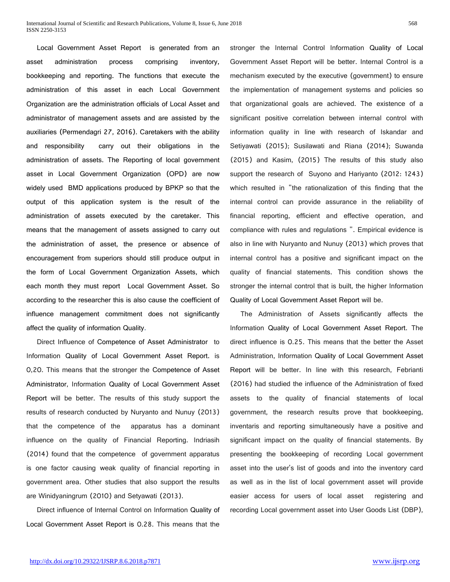Local Government Asset Report is generated from an asset administration process comprising inventory, bookkeeping and reporting. The functions that execute the administration of this asset in each Local Government Organization are the administration officials of Local Asset and administrator of management assets and are assisted by the auxiliaries (Permendagri 27, 2016). Caretakers with the ability and responsibility carry out their obligations in the administration of assets. The Reporting of local government asset in Local Government Organization (OPD) are now widely used BMD applications produced by BPKP so that the output of this application system is the result of the administration of assets executed by the caretaker. This means that the management of assets assigned to carry out the administration of asset, the presence or absence of encouragement from superiors should still produce output in the form of Local Government Organization Assets, which each month they must report Local Government Asset. So according to the researcher this is also cause the coefficient of influence management commitment does not significantly affect the quality of information Quality.

Direct Influence of Competence of Asset Administrator to Information Quality of Local Government Asset Report. is 0,20. This means that the stronger the Competence of Asset Administrator, Information Quality of Local Government Asset Report will be better. The results of this study support the results of research conducted by Nuryanto and Nunuy (2013) that the competence of the apparatus has a dominant influence on the quality of Financial Reporting. Indriasih (2014) found that the competence of government apparatus is one factor causing weak quality of financial reporting in government area. Other studies that also support the results are Winidyaningrum (2010) and Setyawati (2013).

Direct influence of Internal Control on Information Quality of Local Government Asset Report is 0.28. This means that the

stronger the Internal Control Information Quality of Local Government Asset Report will be better. Internal Control is a mechanism executed by the executive (government) to ensure the implementation of management systems and policies so that organizational goals are achieved. The existence of a significant positive correlation between internal control with information quality in line with research of Iskandar and Setiyawati (2015); Susilawati and Riana (2014); Suwanda (2015) and Kasim, (2015) The results of this study also support the research of Suyono and Hariyanto (2012: 1243) which resulted in "the rationalization of this finding that the internal control can provide assurance in the reliability of financial reporting, efficient and effective operation, and compliance with rules and regulations ". Empirical evidence is also in line with Nuryanto and Nunuy (2013) which proves that internal control has a positive and significant impact on the quality of financial statements. This condition shows the stronger the internal control that is built, the higher Information Quality of Local Government Asset Report will be.

The Administration of Assets significantly affects the Information Quality of Local Government Asset Report. The direct influence is 0.25. This means that the better the Asset Administration, Information Quality of Local Government Asset Report will be better. In line with this research, Febrianti (2016) had studied the influence of the Administration of fixed assets to the quality of financial statements of local government, the research results prove that bookkeeping, inventaris and reporting simultaneously have a positive and significant impact on the quality of financial statements. By presenting the bookkeeping of recording Local government asset into the user's list of goods and into the inventory card as well as in the list of local government asset will provide easier access for users of local asset registering and recording Local government asset into User Goods List (DBP),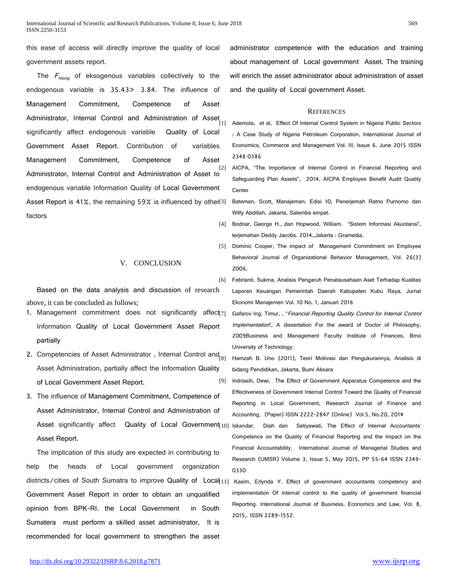this ease of access will directly improve the quality of local government assets report.

The  $F_{hitung}$  of eksogenous variables collectively to the endogenous variable is 35.43> 3.84. The influence of Management Commitment, Competence of Asset Administrator, Internal Control and Administration of Asset significantly affect endogenous variable Quality of Local Government Asset Report. Contribution of variables Management Commitment, Competence of Asset<br><sup>[2]</sup> Administrator, Internal Control and Administration of Asset to endogenous variable Information Quality of Local Government Asset Report is 41%, the remaining 59% is influenced by other<sup>[3]</sup> factors

V. CONCLUSION

Based on the data analysis and discussion of research above, it can be concluded as follows;

- 1. Management commitment does not significantly affect $71$ Information Quality of Local Government Asset Report partially
- 2. Competencies of Asset Administrator, Internal Control and  $_{[8]}$ Asset Administration, partially affect the Information Quality of Local Government Asset Report.
- 3. The influence of Management Commitment, Competence of Asset Administrator, Internal Control and Administration of Asset significantly affect Quality of Local Government $_{10}$ Asset Report.

The implication of this study are expected in contributing to help the heads of Local government organization districts/cities of South Sumatra to improve Quality of Local<sub>[11]</sub> Government Asset Report in order to obtain an unqualified opinion from BPK-RI. the Local Government in South Sumatera must perform a skilled asset administrator, It is recommended for local government to strengthen the asset

administrator competence with the education and training about management of Local government Asset. The training will enrich the asset administrator about administration of asset and the quality of Local government Asset.

#### **REFERENCES**

Ademola, et al, Effect Of Internal Control System in Nigeria Public Sectors : A Case Study of Nigeria Petroleum Corporation, International Journal of Economics, Commerce and Management Vol. III, Issue 6, June 2015 ISSN 2348 0386

AICPA, "The Importance of Internal Control in Financial Reporting and Safeguarding Plan Assets", 2014, AICPA Employee Benefit Audit Quality **Center** 

Bateman, Scott, Manajemen. Edisi 10, Penerjemah Ratno Purnomo dan Willy Abdillah, Jakarta, Salemba empat.

[4] Bodnar, George H., dan Hopwood, William. "Sistem Informasi Akuntansi", terjemahan Deddy Jacobs. 2014,,Jakarta : Gramedia.

- [5] Dominic Cooper, The impact of Management Commitment on Employee Behavioral Journal of Organizational Behavior Management, Vol. 26(3) 2006,
- [6] Febrianti, Sukma, Analisis Pengaruh Penatausahaan Aset Terhadap Kualitas Laporan Keuangan Pemerintah Daerah Kabupaten Kubu Raya, Jurnal Ekonomi Manajemen Vol. 10 No. 1, Januari 2016
	- Gafarov Ing. Timur, , "Financial Reporting Quality Control for Internal Control Implementation", A dissertation For the award of Doctor of Philosophy, 2009Business and Management Faculty Institute of Finances, Brno University of Technology.

Hamzah B. Uno (2011), Teori Motivasi dan Pengukurannya, Analisis di bidang Pendidikan, Jakarta, Bumi Aksara

- [9] Indriasih, Dewi, The Effect of Government Apparatus Competence and the Effectiveness of Government Internal Control Toward the Quality of Financial Reporting in Local Government, Research Journal of Finance and Accounting, (Paper) ISSN 2222-2847 (Online) Vol.5, No.20, 2014
	- Iskandar, Diah dan Setiyawati, The Effect of Internal Accountants' Competence on the Quality of Financial Reporting and the Impact on the Financial Accountability, International Journal of Managerial Studies and Research (IJMSR) Volume 3, Issue 5, May 2015, PP 55-64 ISSN 2349- 0330
	- Kasim, Erlynda Y. Effect of government accountants competency and implementation Of internal control to the quality of government financial Reporting. International Journal of Business, Economics and Law, Vol. 8, 2015,. ISSN 2289-1552.